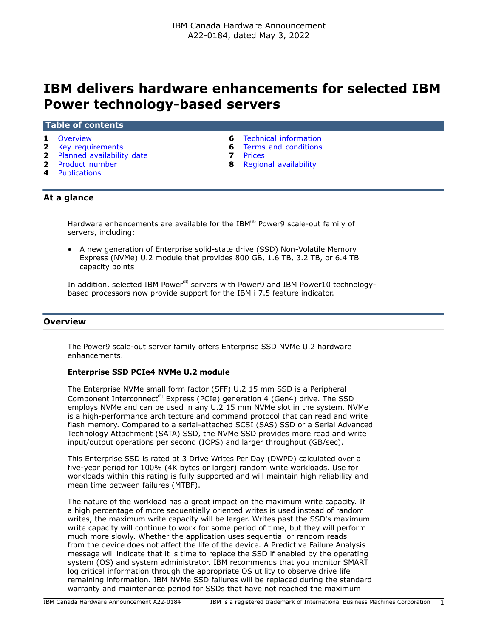# **IBM delivers hardware enhancements for selected IBM Power technology-based servers**

## **Table of contents**

- 
- 
- **2** [Planned availability date](#page-1-1) **7** [Prices](#page-6-0)
- 
- **4** [Publications](#page-3-0)
- **1** [Overview](#page-0-0) **6** [Technical information](#page-5-0)
- **2** [Key requirements](#page-1-0) **6** [Terms and conditions](#page-5-1)
	-
- **2** [Product number](#page-1-2) **8** [Regional availability](#page-7-0)

# **At a glance**

Hardware enhancements are available for the IBM $(R)$  Power9 scale-out family of servers, including:

• A new generation of Enterprise solid-state drive (SSD) Non-Volatile Memory Express (NVMe) U.2 module that provides 800 GB, 1.6 TB, 3.2 TB, or 6.4 TB capacity points

In addition, selected IBM Power<sup>(R)</sup> servers with Power9 and IBM Power10 technologybased processors now provide support for the IBM i 7.5 feature indicator.

## <span id="page-0-0"></span>**Overview**

The Power9 scale-out server family offers Enterprise SSD NVMe U.2 hardware enhancements.

## **Enterprise SSD PCIe4 NVMe U.2 module**

The Enterprise NVMe small form factor (SFF) U.2 15 mm SSD is a Peripheral Component Interconnect<sup>(R)</sup> Express (PCIe) generation 4 (Gen4) drive. The SSD employs NVMe and can be used in any U.2 15 mm NVMe slot in the system. NVMe is a high-performance architecture and command protocol that can read and write flash memory. Compared to a serial-attached SCSI (SAS) SSD or a Serial Advanced Technology Attachment (SATA) SSD, the NVMe SSD provides more read and write input/output operations per second (IOPS) and larger throughput (GB/sec).

This Enterprise SSD is rated at 3 Drive Writes Per Day (DWPD) calculated over a five-year period for 100% (4K bytes or larger) random write workloads. Use for workloads within this rating is fully supported and will maintain high reliability and mean time between failures (MTBF).

The nature of the workload has a great impact on the maximum write capacity. If a high percentage of more sequentially oriented writes is used instead of random writes, the maximum write capacity will be larger. Writes past the SSD's maximum write capacity will continue to work for some period of time, but they will perform much more slowly. Whether the application uses sequential or random reads from the device does not affect the life of the device. A Predictive Failure Analysis message will indicate that it is time to replace the SSD if enabled by the operating system (OS) and system administrator. IBM recommends that you monitor SMART log critical information through the appropriate OS utility to observe drive life remaining information. IBM NVMe SSD failures will be replaced during the standard warranty and maintenance period for SSDs that have not reached the maximum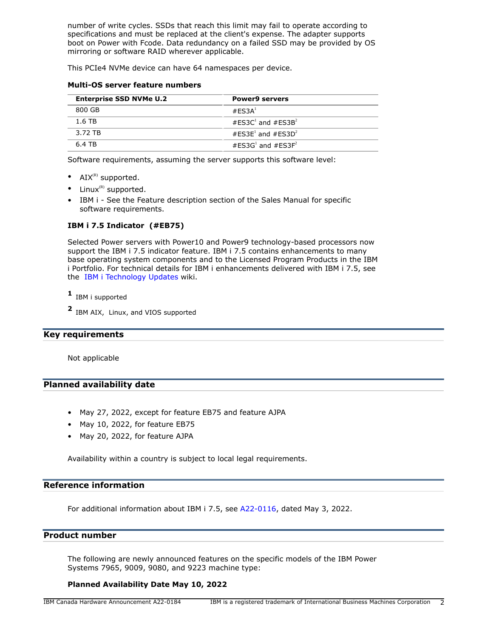number of write cycles. SSDs that reach this limit may fail to operate according to specifications and must be replaced at the client's expense. The adapter supports boot on Power with Fcode. Data redundancy on a failed SSD may be provided by OS mirroring or software RAID wherever applicable.

This PCIe4 NVMe device can have 64 namespaces per device.

## **Multi-OS server feature numbers**

| <b>Enterprise SSD NVMe U.2</b> | <b>Power9 servers</b>                     |
|--------------------------------|-------------------------------------------|
| 800 GB                         | #FSSA <sup>1</sup>                        |
| 1.6 TB                         | #FS3C <sup>1</sup> and #FS3B <sup>2</sup> |
| 3.72 TB                        | #FS3F <sup>1</sup> and #FS3D <sup>2</sup> |
| 6.4 TB                         | #FS3G <sup>1</sup> and #FS3F <sup>2</sup> |

Software requirements, assuming the server supports this software level:

- $AIX^{(R)}$  supported.
- Linux $<sup>(R)</sup>$  supported.</sup>
- IBM i See the Feature description section of the Sales Manual for specific software requirements.

# **IBM i 7.5 Indicator (#EB75)**

Selected Power servers with Power10 and Power9 technology-based processors now support the IBM i 7.5 indicator feature. IBM i 7.5 contains enhancements to many base operating system components and to the Licensed Program Products in the IBM i Portfolio. For technical details for IBM i enhancements delivered with IBM i 7.5, see the [IBM i Technology Updates](https://www.ibm.com/support/pages/node/1119129) wiki.

**1** IBM i supported

**2** IBM AIX, Linux, and VIOS supported

# <span id="page-1-0"></span>**Key requirements**

Not applicable

# <span id="page-1-1"></span>**Planned availability date**

- May 27, 2022, except for feature EB75 and feature AJPA
- May 10, 2022, for feature EB75
- May 20, 2022, for feature AJPA

Availability within a country is subject to local legal requirements.

# **Reference information**

For additional information about IBM i 7.5, see [A22-0116](http://www.ibm.com/common/ssi/cgi-bin/ssialias?infotype=an&subtype=ca&appname=gpateam&supplier=649&letternum=ENUSA22-0116), dated May 3, 2022.

# <span id="page-1-2"></span>**Product number**

The following are newly announced features on the specific models of the IBM Power Systems 7965, 9009, 9080, and 9223 machine type:

# **Planned Availability Date May 10, 2022**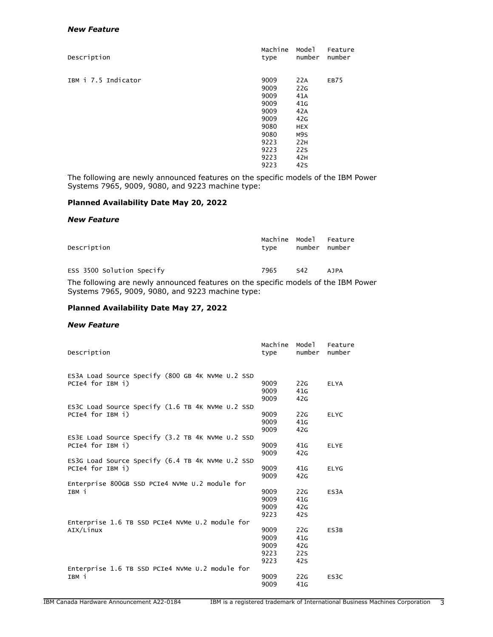## *New Feature*

| Description         | Machine<br>type | Model<br>number | Feature<br>number |
|---------------------|-----------------|-----------------|-------------------|
| IBM i 7.5 Indicator | 9009            | 22A             | EB75              |
|                     | 9009            | 22G             |                   |
|                     | 9009            | 41A             |                   |
|                     | 9009            | 41 <sub>G</sub> |                   |
|                     | 9009            | 42A             |                   |
|                     | 9009            | 42G             |                   |
|                     | 9080            | <b>HEX</b>      |                   |
|                     | 9080            | M9S             |                   |
|                     | 9223            | 22H             |                   |
|                     | 9223            | 22 <sub>S</sub> |                   |
|                     | 9223            | 42H             |                   |
|                     | 9223            | 42 <sub>S</sub> |                   |

The following are newly announced features on the specific models of the IBM Power Systems 7965, 9009, 9080, and 9223 machine type:

# **Planned Availability Date May 20, 2022**

#### *New Feature*

| Description               | tvpe | number number | Machine Model Feature |
|---------------------------|------|---------------|-----------------------|
| ESS 3500 Solution Specify | 7965 | S42           | <b>AJPA</b>           |
|                           |      |               |                       |

The following are newly announced features on the specific models of the IBM Power Systems 7965, 9009, 9080, and 9223 machine type:

## **Planned Availability Date May 27, 2022**

#### *New Feature*

| Description                                              | Machine<br>type | Mode1<br>number | Feature<br>number |
|----------------------------------------------------------|-----------------|-----------------|-------------------|
| ES3A Load Source Specify (800 GB 4K NVMe U.2 SSD         |                 |                 |                   |
| PCIe4 for IBM i)                                         | 9009            | 22G             | <b>ELYA</b>       |
|                                                          | 9009            | 41 <sub>G</sub> |                   |
|                                                          | 9009            | 42G             |                   |
| ES3C Load Source Specify (1.6 TB 4K NVMe U.2 SSD         |                 |                 |                   |
| PCIe4 for IBM i)                                         | 9009            | 22G             | <b>ELYC</b>       |
|                                                          | 9009            | 41 <sub>G</sub> |                   |
|                                                          | 9009            | 42G             |                   |
| ES3E Load Source Specify (3.2 TB 4K NVMe U.2 SSD         |                 |                 |                   |
| PCIe4 for IBM i)                                         | 9009            | 41G             | <b>ELYE</b>       |
|                                                          | 9009            | 42G             |                   |
| ES3G Load Source Specify (6.4 TB 4K NVMe U.2 SSD         |                 |                 |                   |
| PCIe4 for IBM i)                                         | 9009            | 41 <sub>G</sub> | <b>ELYG</b>       |
|                                                          | 9009            | 42G             |                   |
| Enterprise 800GB SSD PCIe4 NVMe U.2 module for           |                 |                 |                   |
| IBM i                                                    | 9009            | 22G             | ES <sub>3</sub> A |
|                                                          | 9009            | 41 <sub>G</sub> |                   |
|                                                          | 9009            | 42G             |                   |
|                                                          | 9223            | 42S             |                   |
| Enterprise 1.6 TB SSD PCIe4 NVMe U.2 module for          |                 |                 |                   |
| AIX/Linux                                                | 9009            | 22G             | ES3B              |
|                                                          | 9009            | 41G             |                   |
|                                                          | 9009            | 42G             |                   |
|                                                          | 9223            | 22S             |                   |
|                                                          | 9223            | 42S             |                   |
| Enterprise 1.6 TB SSD PCIe4 NVMe U.2 module for<br>IBM i | 9009            | 22G             | ES3C              |
|                                                          | 9009            | 41G             |                   |
|                                                          |                 |                 |                   |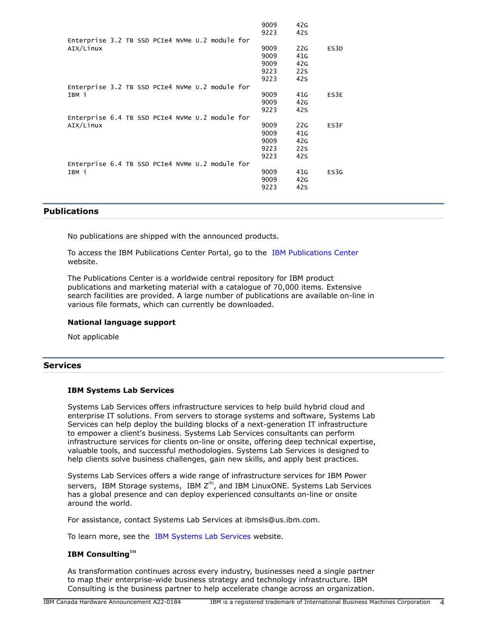|                                                 | 9009 | 42G             |      |
|-------------------------------------------------|------|-----------------|------|
|                                                 | 9223 | 42s             |      |
| Enterprise 3.2 TB SSD PCIe4 NVMe U.2 module for |      |                 |      |
| AIX/Linux                                       | 9009 | 22G             | ES3D |
|                                                 | 9009 | 41 <sub>G</sub> |      |
|                                                 | 9009 | 42G             |      |
|                                                 | 9223 | 22S             |      |
|                                                 | 9223 | 42 <sub>S</sub> |      |
| Enterprise 3.2 TB SSD PCIe4 NVMe U.2 module for |      |                 |      |
| IBM i                                           | 9009 | 41G             | ES3E |
|                                                 | 9009 | 42G             |      |
|                                                 | 9223 | 42s             |      |
| Enterprise 6.4 TB SSD PCIe4 NVMe U.2 module for |      |                 |      |
| AIX/Linux                                       | 9009 | 22G             | ES3F |
|                                                 | 9009 | 41 <sub>G</sub> |      |
|                                                 | 9009 | 42G             |      |
|                                                 | 9223 | 22S             |      |
|                                                 | 9223 | 42s             |      |
| Enterprise 6.4 TB SSD PCIe4 NVMe U.2 module for |      |                 |      |
| IBM i                                           | 9009 | 41G             | ES3G |
|                                                 | 9009 | 42G             |      |
|                                                 | 9223 | 42s             |      |

## <span id="page-3-0"></span>**Publications**

No publications are shipped with the announced products.

To access the IBM Publications Center Portal, go to the [IBM Publications Center](https://www.ibm.com/resources/publications) website.

The Publications Center is a worldwide central repository for IBM product publications and marketing material with a catalogue of 70,000 items. Extensive search facilities are provided. A large number of publications are available on-line in various file formats, which can currently be downloaded.

#### **National language support**

Not applicable

# **Services**

## **IBM Systems Lab Services**

Systems Lab Services offers infrastructure services to help build hybrid cloud and enterprise IT solutions. From servers to storage systems and software, Systems Lab Services can help deploy the building blocks of a next-generation IT infrastructure to empower a client's business. Systems Lab Services consultants can perform infrastructure services for clients on-line or onsite, offering deep technical expertise, valuable tools, and successful methodologies. Systems Lab Services is designed to help clients solve business challenges, gain new skills, and apply best practices.

Systems Lab Services offers a wide range of infrastructure services for IBM Power servers, IBM Storage systems, IBM  $Z^{(R)}$ , and IBM LinuxONE. Systems Lab Services has a global presence and can deploy experienced consultants on-line or onsite around the world.

For assistance, contact Systems Lab Services at ibmsls@us.ibm.com.

To learn more, see the [IBM Systems Lab Services](https://www.ibm.com/it-infrastructure/services/lab-services) website.

# **IBM ConsultingTM**

As transformation continues across every industry, businesses need a single partner to map their enterprise-wide business strategy and technology infrastructure. IBM Consulting is the business partner to help accelerate change across an organization.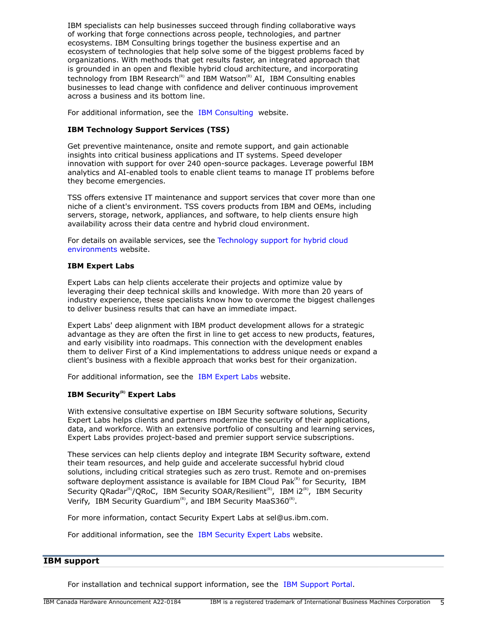IBM specialists can help businesses succeed through finding collaborative ways of working that forge connections across people, technologies, and partner ecosystems. IBM Consulting brings together the business expertise and an ecosystem of technologies that help solve some of the biggest problems faced by organizations. With methods that get results faster, an integrated approach that is grounded in an open and flexible hybrid cloud architecture, and incorporating technology from IBM Research<sup>(R)</sup> and IBM Watson<sup>(R)</sup> AI, IBM Consulting enables businesses to lead change with confidence and deliver continuous improvement across a business and its bottom line.

For additional information, see the [IBM Consulting](https://www.ibm.com/consulting) website.

# **IBM Technology Support Services (TSS)**

Get preventive maintenance, onsite and remote support, and gain actionable insights into critical business applications and IT systems. Speed developer innovation with support for over 240 open-source packages. Leverage powerful IBM analytics and AI-enabled tools to enable client teams to manage IT problems before they become emergencies.

TSS offers extensive IT maintenance and support services that cover more than one niche of a client's environment. TSS covers products from IBM and OEMs, including servers, storage, network, appliances, and software, to help clients ensure high availability across their data centre and hybrid cloud environment.

For details on available services, see the [Technology support for hybrid cloud](https://www.ibm.com/services/technology-support) [environments](https://www.ibm.com/services/technology-support) website.

# **IBM Expert Labs**

Expert Labs can help clients accelerate their projects and optimize value by leveraging their deep technical skills and knowledge. With more than 20 years of industry experience, these specialists know how to overcome the biggest challenges to deliver business results that can have an immediate impact.

Expert Labs' deep alignment with IBM product development allows for a strategic advantage as they are often the first in line to get access to new products, features, and early visibility into roadmaps. This connection with the development enables them to deliver First of a Kind implementations to address unique needs or expand a client's business with a flexible approach that works best for their organization.

For additional information, see the [IBM Expert Labs](https://www.ibm.com/products/expertlabs) website.

# **IBM Security(R) Expert Labs**

With extensive consultative expertise on IBM Security software solutions, Security Expert Labs helps clients and partners modernize the security of their applications, data, and workforce. With an extensive portfolio of consulting and learning services, Expert Labs provides project-based and premier support service subscriptions.

These services can help clients deploy and integrate IBM Security software, extend their team resources, and help guide and accelerate successful hybrid cloud solutions, including critical strategies such as zero trust. Remote and on-premises software deployment assistance is available for IBM Cloud Pak $R<sup>(R)</sup>$  for Security, IBM Security QRadar<sup>(R)</sup>/QRoC, IBM Security SOAR/Resilient<sup>(R)</sup>, IBM i2<sup>(R)</sup>, IBM Security Verify, IBM Security Guardium<sup>(R)</sup>, and IBM Security MaaS360<sup>(R)</sup>.

For more information, contact Security Expert Labs at sel@us.ibm.com.

For additional information, see the [IBM Security Expert Labs](https://www.ibm.com/security/security-expert-labs) website.

# **IBM support**

For installation and technical support information, see the [IBM Support Portal.](https://www.ibm.com/mysupport/s/?language=en_US)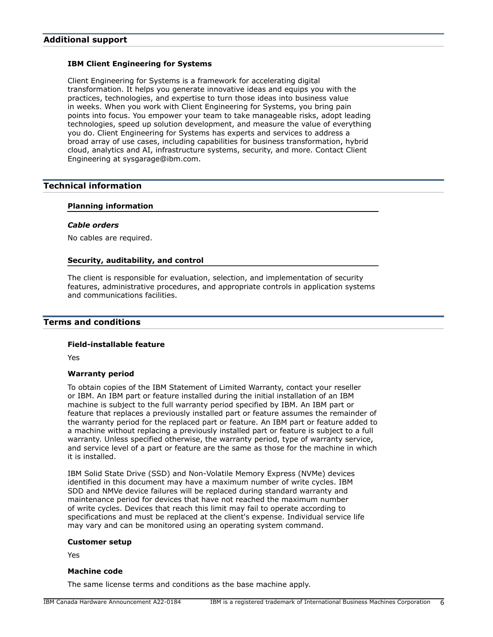## **IBM Client Engineering for Systems**

Client Engineering for Systems is a framework for accelerating digital transformation. It helps you generate innovative ideas and equips you with the practices, technologies, and expertise to turn those ideas into business value in weeks. When you work with Client Engineering for Systems, you bring pain points into focus. You empower your team to take manageable risks, adopt leading technologies, speed up solution development, and measure the value of everything you do. Client Engineering for Systems has experts and services to address a broad array of use cases, including capabilities for business transformation, hybrid cloud, analytics and AI, infrastructure systems, security, and more. Contact Client Engineering at sysgarage@ibm.com.

# <span id="page-5-0"></span>**Technical information**

## **Planning information**

#### *Cable orders*

No cables are required.

## **Security, auditability, and control**

The client is responsible for evaluation, selection, and implementation of security features, administrative procedures, and appropriate controls in application systems and communications facilities.

# <span id="page-5-1"></span>**Terms and conditions**

#### **Field-installable feature**

Yes

## **Warranty period**

To obtain copies of the IBM Statement of Limited Warranty, contact your reseller or IBM. An IBM part or feature installed during the initial installation of an IBM machine is subject to the full warranty period specified by IBM. An IBM part or feature that replaces a previously installed part or feature assumes the remainder of the warranty period for the replaced part or feature. An IBM part or feature added to a machine without replacing a previously installed part or feature is subject to a full warranty. Unless specified otherwise, the warranty period, type of warranty service, and service level of a part or feature are the same as those for the machine in which it is installed.

IBM Solid State Drive (SSD) and Non-Volatile Memory Express (NVMe) devices identified in this document may have a maximum number of write cycles. IBM SDD and NMVe device failures will be replaced during standard warranty and maintenance period for devices that have not reached the maximum number of write cycles. Devices that reach this limit may fail to operate according to specifications and must be replaced at the client's expense. Individual service life may vary and can be monitored using an operating system command.

## **Customer setup**

Yes

#### **Machine code**

The same license terms and conditions as the base machine apply.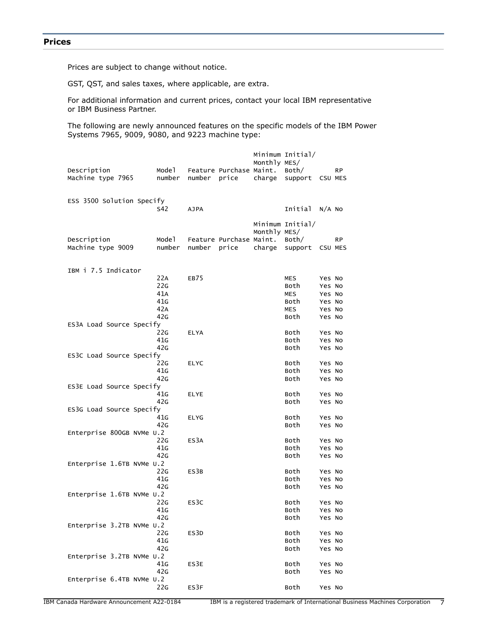<span id="page-6-0"></span>Prices are subject to change without notice.

GST, QST, and sales taxes, where applicable, are extra.

For additional information and current prices, contact your local IBM representative or IBM Business Partner.

The following are newly announced features on the specific models of the IBM Power Systems 7965, 9009, 9080, and 9223 machine type:

| Description<br>Machine type 7965 | Mode 1<br>number | number      | Feature Purchase Maint.<br>price | Monthly MES/<br>charge | Minimum Initial/<br>Both/<br>support | CSU MES | <b>RP</b> |
|----------------------------------|------------------|-------------|----------------------------------|------------------------|--------------------------------------|---------|-----------|
| ESS 3500 Solution Specify        |                  |             |                                  |                        |                                      |         |           |
|                                  | S42              | <b>AJPA</b> |                                  |                        | Initial                              | N/A NO  |           |
| Description<br>Machine type 9009 | Mode1<br>number  | number      | Feature Purchase Maint.<br>price | Monthly MES/<br>charge | Minimum Initial/<br>Both/<br>support | CSU MES | <b>RP</b> |
|                                  |                  |             |                                  |                        |                                      |         |           |
| IBM i 7.5 Indicator              |                  |             |                                  |                        |                                      |         |           |
|                                  | 22A              | EB75        |                                  |                        | MES                                  | Yes No  |           |
|                                  | 22G              |             |                                  |                        | Both                                 | Yes No  |           |
|                                  | 41A              |             |                                  |                        | <b>MES</b>                           | Yes No  |           |
|                                  | 41G              |             |                                  |                        | Both                                 | Yes No  |           |
|                                  | 42A              |             |                                  |                        | <b>MES</b>                           | Yes No  |           |
|                                  | 42G              |             |                                  |                        | Both                                 | Yes No  |           |
| ES3A Load Source Specify         |                  |             |                                  |                        |                                      |         |           |
|                                  | 22G              | <b>ELYA</b> |                                  |                        | Both                                 | Yes No  |           |
|                                  | 41G              |             |                                  |                        | Both                                 | Yes No  |           |
|                                  | 42G              |             |                                  |                        | Both                                 | Yes No  |           |
| ES3C Load Source Specify         |                  |             |                                  |                        |                                      |         |           |
|                                  | 22G              | <b>ELYC</b> |                                  |                        | Both                                 | Yes No  |           |
|                                  | 41 <sub>G</sub>  |             |                                  |                        | Both                                 | Yes No  |           |
|                                  | 42G              |             |                                  |                        | Both                                 | Yes No  |           |
| ES3E Load Source Specify         |                  |             |                                  |                        |                                      |         |           |
|                                  | 41G<br>42G       | <b>ELYE</b> |                                  |                        | Both<br>Both                         | Yes No  |           |
| ES3G Load Source Specify         |                  |             |                                  |                        |                                      | Yes No  |           |
|                                  | 41G              | <b>ELYG</b> |                                  |                        | Both                                 | Yes No  |           |
|                                  | 42G              |             |                                  |                        | Both                                 | Yes No  |           |
| Enterprise 800GB NVMe U.2        |                  |             |                                  |                        |                                      |         |           |
|                                  | 22G              | ES3A        |                                  |                        | Both                                 | Yes No  |           |
|                                  | 41G              |             |                                  |                        | Both                                 | Yes No  |           |
|                                  | 42G              |             |                                  |                        | Both                                 | Yes No  |           |
| Enterprise 1.6TB NVMe U.2        |                  |             |                                  |                        |                                      |         |           |
|                                  | 22G              | ES3B        |                                  |                        | Both                                 | Yes No  |           |
|                                  | 41G              |             |                                  |                        | Both                                 | Yes No  |           |
|                                  | 42G              |             |                                  |                        | Both                                 | Yes No  |           |
| Enterprise 1.6TB NVMe U.2        |                  |             |                                  |                        |                                      |         |           |
|                                  | 22G              | ES3C        |                                  |                        | Both                                 | Yes No  |           |
|                                  | 41G              |             |                                  |                        | Both                                 | Yes No  |           |
|                                  | 42G              |             |                                  |                        | Both                                 | Yes No  |           |
| Enterprise 3.2TB NVMe U.2        |                  |             |                                  |                        |                                      |         |           |
|                                  | 22G              | ES3D        |                                  |                        | Both                                 | Yes No  |           |
|                                  | 41G              |             |                                  |                        | Both                                 | Yes No  |           |
|                                  | 42G              |             |                                  |                        | Both                                 | Yes No  |           |
| Enterprise 3.2TB NVMe U.2        |                  |             |                                  |                        |                                      |         |           |
|                                  | 41G              | ES3E        |                                  |                        | Both                                 | Yes No  |           |
|                                  | 42G              |             |                                  |                        | Both                                 | Yes No  |           |
| Enterprise 6.4TB NVMe U.2        | 22G              | ES3F        |                                  |                        | Both                                 | Yes No  |           |
|                                  |                  |             |                                  |                        |                                      |         |           |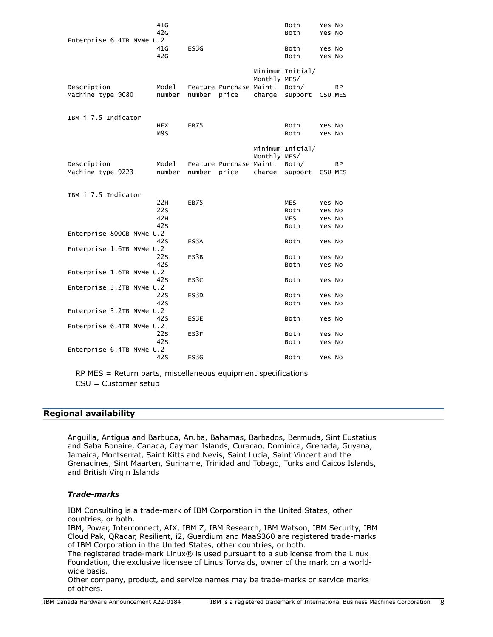| Enterprise 6.4TB NVMe U.2 | 41 <sub>G</sub><br>42G |                   |                         |              | Both<br>Both                     | Yes No<br>Yes No           |           |
|---------------------------|------------------------|-------------------|-------------------------|--------------|----------------------------------|----------------------------|-----------|
|                           | 41 <sub>G</sub><br>42G | ES3G              |                         |              | Both<br>Both                     | Yes No<br>Yes No           |           |
| Description               | Model                  |                   | Feature Purchase Maint. | Monthly MES/ | Minimum Initial/<br>Both/        |                            | <b>RP</b> |
| Machine type 9080         | number                 | number            | price                   | charge       | support                          | CSU MES                    |           |
| IBM i 7.5 Indicator       | <b>HEX</b>             | <b>EB75</b>       |                         |              | Both                             | Yes No                     |           |
|                           | M9S                    |                   |                         |              | Both                             | Yes No                     |           |
| Description               | Mode 1                 |                   | Feature Purchase Maint. | Monthly MES/ | Minimum Initial/<br>Both/        |                            | <b>RP</b> |
| Machine type 9223         | number                 | number            | price                   | charge       | support                          | CSU MES                    |           |
| IBM i 7.5 Indicator       |                        |                   |                         |              |                                  |                            |           |
|                           | 22H<br>22s<br>42H      | EB75              |                         |              | <b>MES</b><br>Both<br><b>MES</b> | Yes No<br>Yes No<br>Yes No |           |
| Enterprise 800GB NVMe U.2 | 42s                    |                   |                         |              | Both                             | Yes No                     |           |
| Enterprise 1.6TB NVMe U.2 | 42S                    | ES <sub>3</sub> A |                         |              | Both                             | Yes No                     |           |
|                           | 22 <sub>S</sub><br>42S | ES3B              |                         |              | Both<br>Both                     | Yes No<br>Yes No           |           |
| Enterprise 1.6TB NVMe U.2 | 42S                    | ES3C              |                         |              | Both                             | Yes No                     |           |
| Enterprise 3.2TB NVMe U.2 | 22 <sub>S</sub>        | ES3D              |                         |              | Both                             | Yes No                     |           |
| Enterprise 3.2TB NVMe U.2 | 42S                    |                   |                         |              | Both                             | Yes No                     |           |
| Enterprise 6.4TB NVMe U.2 | 42S                    | ES3E              |                         |              | Both                             | Yes No                     |           |
|                           | 22s<br>42s             | ES3F              |                         |              | Both<br>Both                     | Yes No<br>Yes No           |           |
| Enterprise 6.4TB NVMe U.2 | 42s                    | ES3G              |                         |              | Both                             | Yes No                     |           |
|                           |                        |                   |                         |              |                                  |                            |           |

RP MES = Return parts, miscellaneous equipment specifications CSU = Customer setup

# <span id="page-7-0"></span>**Regional availability**

Anguilla, Antigua and Barbuda, Aruba, Bahamas, Barbados, Bermuda, Sint Eustatius and Saba Bonaire, Canada, Cayman Islands, Curacao, Dominica, Grenada, Guyana, Jamaica, Montserrat, Saint Kitts and Nevis, Saint Lucia, Saint Vincent and the Grenadines, Sint Maarten, Suriname, Trinidad and Tobago, Turks and Caicos Islands, and British Virgin Islands

## *Trade-marks*

IBM Consulting is a trade-mark of IBM Corporation in the United States, other countries, or both.

IBM, Power, Interconnect, AIX, IBM Z, IBM Research, IBM Watson, IBM Security, IBM Cloud Pak, QRadar, Resilient, i2, Guardium and MaaS360 are registered trade-marks of IBM Corporation in the United States, other countries, or both.

The registered trade-mark Linux® is used pursuant to a sublicense from the Linux Foundation, the exclusive licensee of Linus Torvalds, owner of the mark on a worldwide basis.

Other company, product, and service names may be trade-marks or service marks of others.